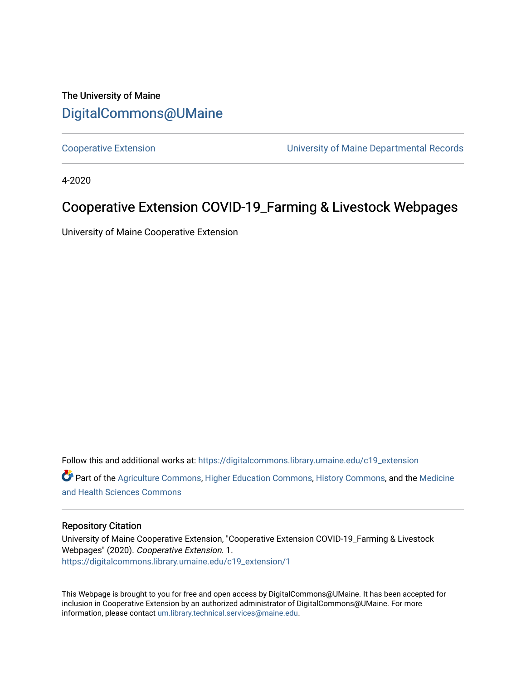### The University of Maine [DigitalCommons@UMaine](https://digitalcommons.library.umaine.edu/)

[Cooperative Extension](https://digitalcommons.library.umaine.edu/c19_extension) [University of Maine Departmental Records](https://digitalcommons.library.umaine.edu/c19_umdr) 

4-2020

### Cooperative Extension COVID-19\_Farming & Livestock Webpages

University of Maine Cooperative Extension

Follow this and additional works at: [https://digitalcommons.library.umaine.edu/c19\\_extension](https://digitalcommons.library.umaine.edu/c19_extension?utm_source=digitalcommons.library.umaine.edu%2Fc19_extension%2F1&utm_medium=PDF&utm_campaign=PDFCoverPages)  Part of the [Agriculture Commons](http://network.bepress.com/hgg/discipline/1076?utm_source=digitalcommons.library.umaine.edu%2Fc19_extension%2F1&utm_medium=PDF&utm_campaign=PDFCoverPages), [Higher Education Commons,](http://network.bepress.com/hgg/discipline/1245?utm_source=digitalcommons.library.umaine.edu%2Fc19_extension%2F1&utm_medium=PDF&utm_campaign=PDFCoverPages) [History Commons](http://network.bepress.com/hgg/discipline/489?utm_source=digitalcommons.library.umaine.edu%2Fc19_extension%2F1&utm_medium=PDF&utm_campaign=PDFCoverPages), and the [Medicine](http://network.bepress.com/hgg/discipline/648?utm_source=digitalcommons.library.umaine.edu%2Fc19_extension%2F1&utm_medium=PDF&utm_campaign=PDFCoverPages)  [and Health Sciences Commons](http://network.bepress.com/hgg/discipline/648?utm_source=digitalcommons.library.umaine.edu%2Fc19_extension%2F1&utm_medium=PDF&utm_campaign=PDFCoverPages)

#### Repository Citation

University of Maine Cooperative Extension, "Cooperative Extension COVID-19\_Farming & Livestock Webpages" (2020). Cooperative Extension. 1. [https://digitalcommons.library.umaine.edu/c19\\_extension/1](https://digitalcommons.library.umaine.edu/c19_extension/1?utm_source=digitalcommons.library.umaine.edu%2Fc19_extension%2F1&utm_medium=PDF&utm_campaign=PDFCoverPages) 

This Webpage is brought to you for free and open access by DigitalCommons@UMaine. It has been accepted for inclusion in Cooperative Extension by an authorized administrator of DigitalCommons@UMaine. For more information, please contact [um.library.technical.services@maine.edu](mailto:um.library.technical.services@maine.edu).